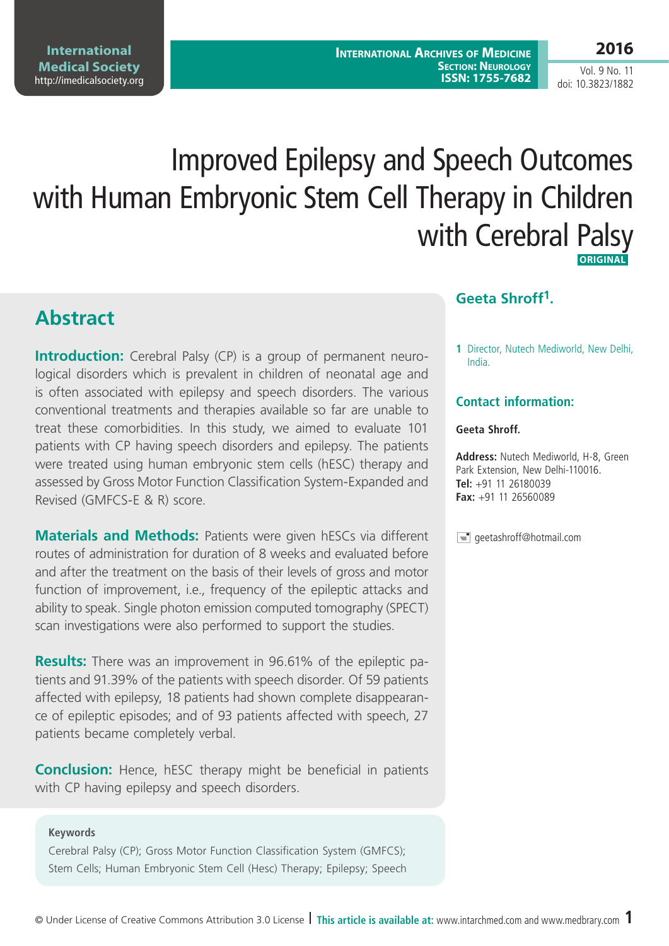**International Archives of Medicine Section: Neurology ISSN: 1755-7682**

Vol. 9 No. 11 doi: 10.3823/1882

# Improved Epilepsy and Speech Outcomes with Human Embryonic Stem Cell Therapy in Children with Cerebral Palsy  **Original**

# **Abstract**

**Introduction:** Cerebral Palsy (CP) is a group of permanent neurological disorders which is prevalent in children of neonatal age and is often associated with epilepsy and speech disorders. The various conventional treatments and therapies available so far are unable to treat these comorbidities. In this study, we aimed to evaluate 101 patients with CP having speech disorders and epilepsy. The patients were treated using human embryonic stem cells (hESC) therapy and assessed by Gross Motor Function Classification System-Expanded and Revised (GMFCS-E & R) score.

**Materials and Methods:** Patients were given hESCs via different routes of administration for duration of 8 weeks and evaluated before and after the treatment on the basis of their levels of gross and motor function of improvement, i.e., frequency of the epileptic attacks and ability to speak. Single photon emission computed tomography (SPECT) scan investigations were also performed to support the studies.

**Results:** There was an improvement in 96.61% of the epileptic patients and 91.39% of the patients with speech disorder. Of 59 patients affected with epilepsy, 18 patients had shown complete disappearance of epileptic episodes; and of 93 patients affected with speech, 27 patients became completely verbal.

**Conclusion:** Hence, hESC therapy might be beneficial in patients with CP having epilepsy and speech disorders.

#### **Keywords**

Cerebral Palsy (CP); Gross Motor Function Classification System (GMFCS); Stem Cells; Human Embryonic Stem Cell (Hesc) Therapy; Epilepsy; Speech

#### **Geeta Shroff1.**

**1** Director, Nutech Mediworld, New Delhi, India.

#### **Contact information:**

#### **Geeta Shroff.**

**Address:** Nutech Mediworld, H-8, Green Park Extension, New Delhi-110016. **Tel:** +91 11 26180039 **Fax:** +91 11 26560089

 $\equiv$  geetashroff@hotmail.com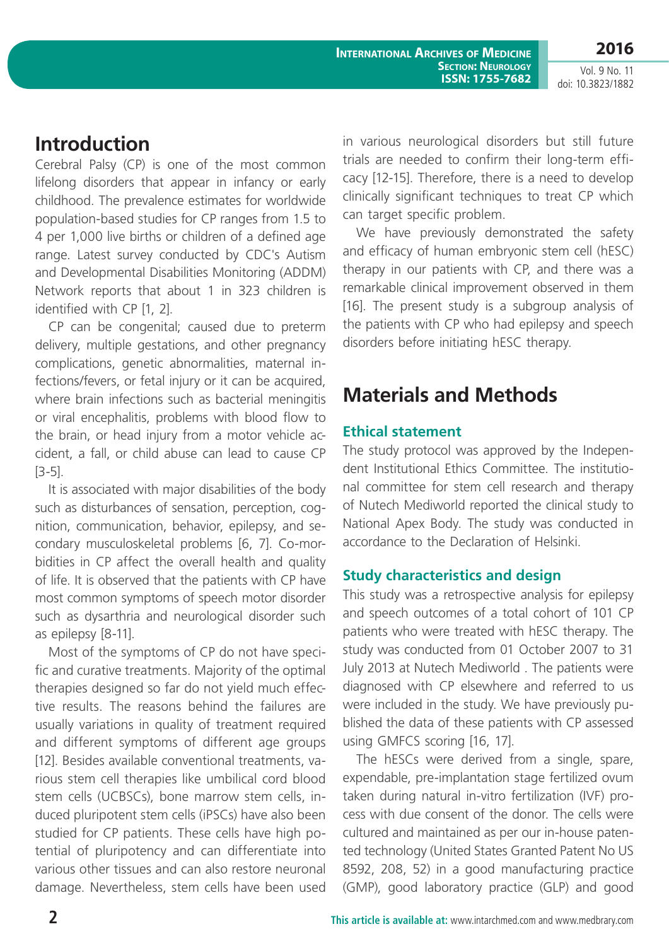### **Introduction**

Cerebral Palsy (CP) is one of the most common lifelong disorders that appear in infancy or early childhood. The prevalence estimates for worldwide population-based studies for CP ranges from 1.5 to 4 per 1,000 live births or children of a defined age range. Latest survey conducted by CDC's Autism and Developmental Disabilities Monitoring (ADDM) Network reports that about 1 in 323 children is identified with CP [1, 2].

CP can be congenital; caused due to preterm delivery, multiple gestations, and other pregnancy complications, genetic abnormalities, maternal infections/fevers, or fetal injury or it can be acquired, where brain infections such as bacterial meningitis or viral encephalitis, problems with blood flow to the brain, or head injury from a motor vehicle accident, a fall, or child abuse can lead to cause CP [3-5].

It is associated with major disabilities of the body such as disturbances of sensation, perception, cognition, communication, behavior, epilepsy, and secondary musculoskeletal problems [6, 7]. Co-morbidities in CP affect the overall health and quality of life. It is observed that the patients with CP have most common symptoms of speech motor disorder such as dysarthria and neurological disorder such as epilepsy [8-11].

Most of the symptoms of CP do not have specific and curative treatments. Majority of the optimal therapies designed so far do not yield much effective results. The reasons behind the failures are usually variations in quality of treatment required and different symptoms of different age groups [12]. Besides available conventional treatments, various stem cell therapies like umbilical cord blood stem cells (UCBSCs), bone marrow stem cells, induced pluripotent stem cells (iPSCs) have also been studied for CP patients. These cells have high potential of pluripotency and can differentiate into various other tissues and can also restore neuronal damage. Nevertheless, stem cells have been used in various neurological disorders but still future trials are needed to confirm their long-term efficacy [12-15]. Therefore, there is a need to develop clinically significant techniques to treat CP which can target specific problem.

We have previously demonstrated the safety and efficacy of human embryonic stem cell (hESC) therapy in our patients with CP, and there was a remarkable clinical improvement observed in them [16]. The present study is a subgroup analysis of the patients with CP who had epilepsy and speech disorders before initiating hESC therapy.

# **Materials and Methods**

### **Ethical statement**

The study protocol was approved by the Independent Institutional Ethics Committee. The institutional committee for stem cell research and therapy of Nutech Mediworld reported the clinical study to National Apex Body. The study was conducted in accordance to the Declaration of Helsinki.

### **Study characteristics and design**

This study was a retrospective analysis for epilepsy and speech outcomes of a total cohort of 101 CP patients who were treated with hESC therapy. The study was conducted from 01 October 2007 to 31 July 2013 at Nutech Mediworld . The patients were diagnosed with CP elsewhere and referred to us were included in the study. We have previously published the data of these patients with CP assessed using GMFCS scoring [16, 17].

The hESCs were derived from a single, spare, expendable, pre-implantation stage fertilized ovum taken during natural in-vitro fertilization (IVF) process with due consent of the donor. The cells were cultured and maintained as per our in-house patented technology (United States Granted Patent No US 8592, 208, 52) in a good manufacturing practice (GMP), good laboratory practice (GLP) and good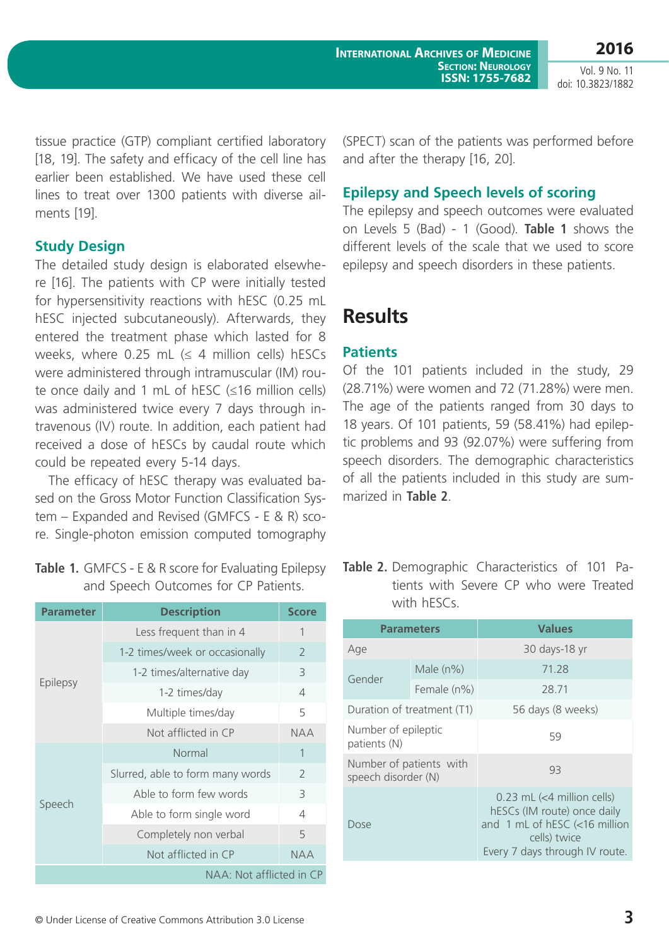tissue practice (GTP) compliant certified laboratory [18, 19]. The safety and efficacy of the cell line has earlier been established. We have used these cell lines to treat over 1300 patients with diverse ailments [19].

#### **Study Design**

The detailed study design is elaborated elsewhere [16]. The patients with CP were initially tested for hypersensitivity reactions with hESC (0.25 mL hESC injected subcutaneously). Afterwards, they entered the treatment phase which lasted for 8 weeks, where 0.25 mL  $($  4 million cells) hESCs were administered through intramuscular (IM) route once daily and 1 mL of hESC (≤16 million cells) was administered twice every 7 days through intravenous (IV) route. In addition, each patient had received a dose of hESCs by caudal route which could be repeated every 5-14 days.

The efficacy of hESC therapy was evaluated based on the Gross Motor Function Classification System – Expanded and Revised (GMFCS - E & R) score. Single-photon emission computed tomography

| <b>Table 1.</b> GMFCS - E & R score for Evaluating Epilepsy |
|-------------------------------------------------------------|
| and Speech Outcomes for CP Patients.                        |

| <b>Parameter</b>         | <b>Description</b>               | <b>Score</b>   |  |  |
|--------------------------|----------------------------------|----------------|--|--|
| Epilepsy                 | Less frequent than in 4          | 1              |  |  |
|                          | 1-2 times/week or occasionally   | $\overline{2}$ |  |  |
|                          | 1-2 times/alternative day        | 3              |  |  |
|                          | 1-2 times/day                    | 4              |  |  |
|                          | Multiple times/day               | 5              |  |  |
|                          | Not afflicted in CP              | <b>NAA</b>     |  |  |
|                          | Normal                           | 1              |  |  |
|                          | Slurred, able to form many words | $\overline{2}$ |  |  |
|                          | Able to form few words           | 3              |  |  |
| Speech                   | Able to form single word         | 4              |  |  |
|                          | Completely non verbal            | 5              |  |  |
|                          | Not afflicted in CP              | <b>NAA</b>     |  |  |
| NAA: Not afflicted in CP |                                  |                |  |  |

(SPECT) scan of the patients was performed before and after the therapy [16, 20].

#### **Epilepsy and Speech levels of scoring**

The epilepsy and speech outcomes were evaluated on Levels 5 (Bad) - 1 (Good). **Table 1** shows the different levels of the scale that we used to score epilepsy and speech disorders in these patients.

# **Results**

### **Patients**

Of the 101 patients included in the study, 29 (28.71%) were women and 72 (71.28%) were men. The age of the patients ranged from 30 days to 18 years. Of 101 patients, 59 (58.41%) had epileptic problems and 93 (92.07%) were suffering from speech disorders. The demographic characteristics of all the patients included in this study are summarized in **Table 2**.

|             | Table 2. Demographic Characteristics of 101 Pa- |  |  |  |
|-------------|-------------------------------------------------|--|--|--|
|             | tients with Severe CP who were Treated          |  |  |  |
| with hESCs. |                                                 |  |  |  |

|                                                | <b>Parameters</b>          | <b>Values</b>                                                                                                                                  |  |  |  |
|------------------------------------------------|----------------------------|------------------------------------------------------------------------------------------------------------------------------------------------|--|--|--|
| Age                                            |                            | 30 days-18 yr                                                                                                                                  |  |  |  |
| Gender                                         | Male $(n\%)$               | 71.28                                                                                                                                          |  |  |  |
|                                                | Female (n%)                | 28.71                                                                                                                                          |  |  |  |
|                                                | Duration of treatment (T1) | 56 days (8 weeks)                                                                                                                              |  |  |  |
| Number of epileptic<br>patients (N)            |                            | 59                                                                                                                                             |  |  |  |
| Number of patients with<br>speech disorder (N) |                            | 93                                                                                                                                             |  |  |  |
| Dose                                           |                            | $0.23$ mL (<4 million cells)<br>hESCs (IM route) once daily<br>and 1 mL of hESC (<16 million<br>cells) twice<br>Every 7 days through IV route. |  |  |  |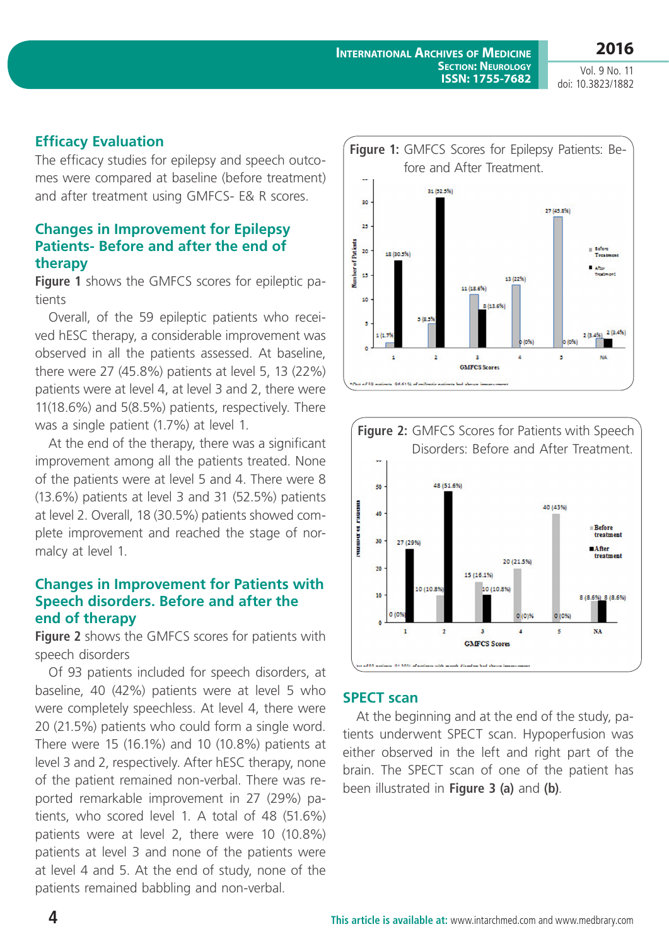**2016** Vol. 9 No. 11

doi: 10.3823/1882

### **Efficacy Evaluation**

The efficacy studies for epilepsy and speech outcomes were compared at baseline (before treatment) and after treatment using GMFCS- E& R scores.

#### **Changes in Improvement for Epilepsy Patients- Before and after the end of therapy**

**Figure 1** shows the GMFCS scores for epileptic patients

Overall, of the 59 epileptic patients who received hESC therapy, a considerable improvement was observed in all the patients assessed. At baseline, there were 27 (45.8%) patients at level 5, 13 (22%) patients were at level 4, at level 3 and 2, there were 11(18.6%) and 5(8.5%) patients, respectively. There was a single patient (1.7%) at level 1.

At the end of the therapy, there was a significant improvement among all the patients treated. None of the patients were at level 5 and 4. There were 8 (13.6%) patients at level 3 and 31 (52.5%) patients at level 2. Overall, 18 (30.5%) patients showed complete improvement and reached the stage of normalcy at level 1.

#### **Changes in Improvement for Patients with Speech disorders. Before and after the end of therapy**

**Figure 2** shows the GMFCS scores for patients with speech disorders

Of 93 patients included for speech disorders, at baseline, 40 (42%) patients were at level 5 who were completely speechless. At level 4, there were 20 (21.5%) patients who could form a single word. There were 15 (16.1%) and 10 (10.8%) patients at level 3 and 2, respectively. After hESC therapy, none of the patient remained non-verbal. There was reported remarkable improvement in 27 (29%) patients, who scored level 1. A total of 48 (51.6%) patients were at level 2, there were 10 (10.8%) patients at level 3 and none of the patients were at level 4 and 5. At the end of study, none of the patients remained babbling and non-verbal.





#### **SPECT scan**

At the beginning and at the end of the study, patients underwent SPECT scan. Hypoperfusion was either observed in the left and right part of the brain. The SPECT scan of one of the patient has been illustrated in **Figure 3 (a)** and **(b)**.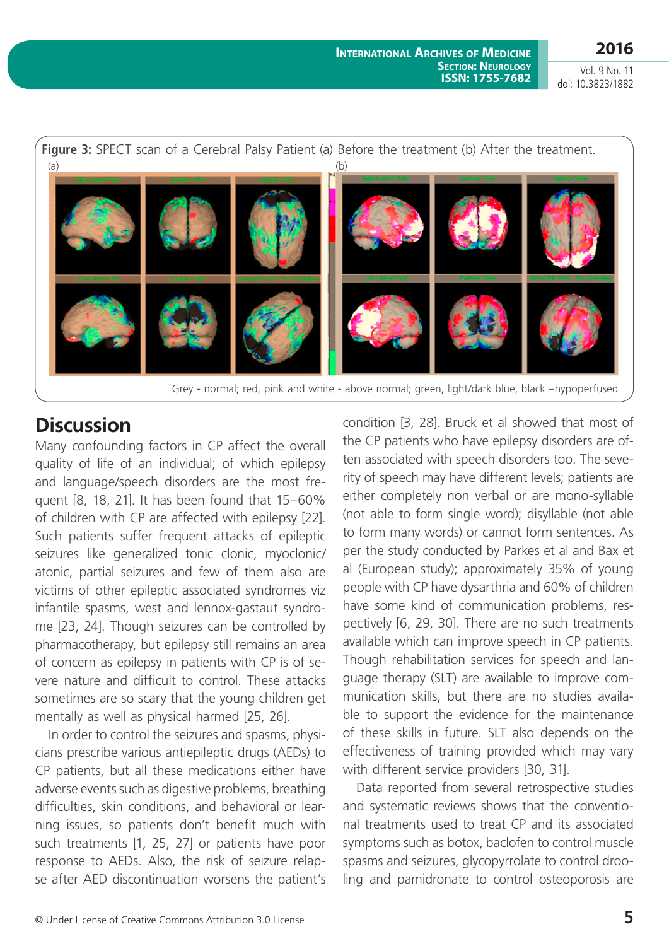

### **Discussion**

Many confounding factors in CP affect the overall quality of life of an individual; of which epilepsy and language/speech disorders are the most frequent [8, 18, 21]. It has been found that 15–60% of children with CP are affected with epilepsy [22]. Such patients suffer frequent attacks of epileptic seizures like generalized tonic clonic, myoclonic/ atonic, partial seizures and few of them also are victims of other epileptic associated syndromes viz infantile spasms, west and lennox-gastaut syndrome [23, 24]. Though seizures can be controlled by pharmacotherapy, but epilepsy still remains an area of concern as epilepsy in patients with CP is of severe nature and difficult to control. These attacks sometimes are so scary that the young children get mentally as well as physical harmed [25, 26].

In order to control the seizures and spasms, physicians prescribe various antiepileptic drugs (AEDs) to CP patients, but all these medications either have adverse events such as digestive problems, breathing difficulties, skin conditions, and behavioral or learning issues, so patients don't benefit much with such treatments [1, 25, 27] or patients have poor response to AEDs. Also, the risk of seizure relapse after AED discontinuation worsens the patient's

condition [3, 28]. Bruck et al showed that most of the CP patients who have epilepsy disorders are often associated with speech disorders too. The severity of speech may have different levels; patients are either completely non verbal or are mono-syllable (not able to form single word); disyllable (not able to form many words) or cannot form sentences. As per the study conducted by Parkes et al and Bax et al (European study); approximately 35% of young people with CP have dysarthria and 60% of children have some kind of communication problems, respectively [6, 29, 30]. There are no such treatments available which can improve speech in CP patients. Though rehabilitation services for speech and language therapy (SLT) are available to improve communication skills, but there are no studies available to support the evidence for the maintenance of these skills in future. SLT also depends on the effectiveness of training provided which may vary with different service providers [30, 31].

Data reported from several retrospective studies and systematic reviews shows that the conventional treatments used to treat CP and its associated symptoms such as botox, baclofen to control muscle spasms and seizures, glycopyrrolate to control drooling and pamidronate to control osteoporosis are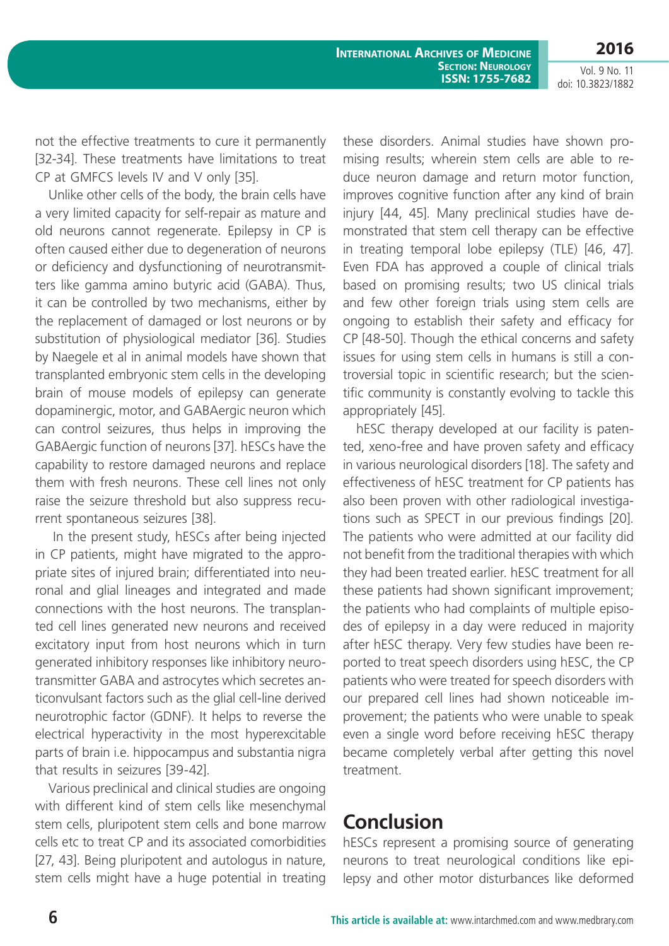not the effective treatments to cure it permanently [32-34]. These treatments have limitations to treat CP at GMFCS levels IV and V only [35].

Unlike other cells of the body, the brain cells have a very limited capacity for self-repair as mature and old neurons cannot regenerate. Epilepsy in CP is often caused either due to degeneration of neurons or deficiency and dysfunctioning of neurotransmitters like gamma amino butyric acid (GABA). Thus, it can be controlled by two mechanisms, either by the replacement of damaged or lost neurons or by substitution of physiological mediator [36]. Studies by Naegele et al in animal models have shown that transplanted embryonic stem cells in the developing brain of mouse models of epilepsy can generate dopaminergic, motor, and GABAergic neuron which can control seizures, thus helps in improving the GABAergic function of neurons [37]. hESCs have the capability to restore damaged neurons and replace them with fresh neurons. These cell lines not only raise the seizure threshold but also suppress recurrent spontaneous seizures [38].

 In the present study, hESCs after being injected in CP patients, might have migrated to the appropriate sites of injured brain; differentiated into neuronal and glial lineages and integrated and made connections with the host neurons. The transplanted cell lines generated new neurons and received excitatory input from host neurons which in turn generated inhibitory responses like inhibitory neurotransmitter GABA and astrocytes which secretes anticonvulsant factors such as the glial cell-line derived neurotrophic factor (GDNF). It helps to reverse the electrical hyperactivity in the most hyperexcitable parts of brain i.e. hippocampus and substantia nigra that results in seizures [39-42].

Various preclinical and clinical studies are ongoing with different kind of stem cells like mesenchymal stem cells, pluripotent stem cells and bone marrow cells etc to treat CP and its associated comorbidities [27, 43]. Being pluripotent and autologus in nature, stem cells might have a huge potential in treating these disorders. Animal studies have shown promising results; wherein stem cells are able to reduce neuron damage and return motor function, improves cognitive function after any kind of brain injury [44, 45]. Many preclinical studies have demonstrated that stem cell therapy can be effective in treating temporal lobe epilepsy (TLE) [46, 47]. Even FDA has approved a couple of clinical trials based on promising results; two US clinical trials and few other foreign trials using stem cells are ongoing to establish their safety and efficacy for CP [48-50]. Though the ethical concerns and safety issues for using stem cells in humans is still a controversial topic in scientific research; but the scientific community is constantly evolving to tackle this appropriately [45].

hESC therapy developed at our facility is patented, xeno-free and have proven safety and efficacy in various neurological disorders [18]. The safety and effectiveness of hESC treatment for CP patients has also been proven with other radiological investigations such as SPECT in our previous findings [20]. The patients who were admitted at our facility did not benefit from the traditional therapies with which they had been treated earlier. hESC treatment for all these patients had shown significant improvement; the patients who had complaints of multiple episodes of epilepsy in a day were reduced in majority after hESC therapy. Very few studies have been reported to treat speech disorders using hESC, the CP patients who were treated for speech disorders with our prepared cell lines had shown noticeable improvement; the patients who were unable to speak even a single word before receiving hESC therapy became completely verbal after getting this novel treatment.

# **Conclusion**

hESCs represent a promising source of generating neurons to treat neurological conditions like epilepsy and other motor disturbances like deformed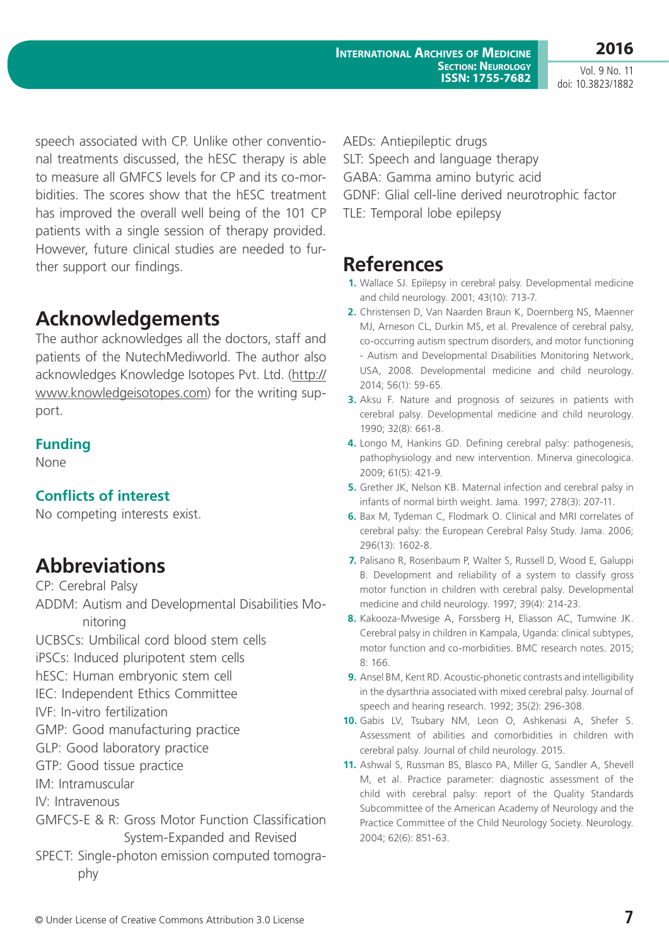**2016**

Vol. 9 No. 11 doi: 10.3823/1882

speech associated with CP. Unlike other conventional treatments discussed, the hESC therapy is able to measure all GMFCS levels for CP and its co-morbidities. The scores show that the hESC treatment has improved the overall well being of the 101 CP patients with a single session of therapy provided. However, future clinical studies are needed to further support our findings.

# **Acknowledgements**

The author acknowledges all the doctors, staff and patients of the NutechMediworld. The author also acknowledges Knowledge Isotopes Pvt. Ltd. ([http://](http://www.knowledgeisotopes.com) [www.knowledgeisotopes.com](http://www.knowledgeisotopes.com)) for the writing support.

### **Funding**

None

### **Conflicts of interest**

No competing interests exist.

### **Abbreviations**

CP: Cerebral Palsy

ADDM: Autism and Developmental Disabilities Monitoring

UCBSCs: Umbilical cord blood stem cells

iPSCs: Induced pluripotent stem cells

hESC: Human embryonic stem cell

IEC: Independent Ethics Committee

IVF: In-vitro fertilization

- GMP: Good manufacturing practice
- GLP: Good laboratory practice
- GTP: Good tissue practice
- IM: Intramuscular
- IV: Intravenous

GMFCS-E & R: Gross Motor Function Classification System-Expanded and Revised

SPECT: Single-photon emission computed tomography

AEDs: Antiepileptic drugs SLT: Speech and language therapy GABA: Gamma amino butyric acid

GDNF: Glial cell-line derived neurotrophic factor

TLE: Temporal lobe epilepsy

### **References**

- **1.** Wallace SJ. Epilepsy in cerebral palsy. Developmental medicine and child neurology. 2001; 43(10): 713-7.
- **2.** Christensen D, Van Naarden Braun K, Doernberg NS, Maenner MJ, Arneson CL, Durkin MS, et al. Prevalence of cerebral palsy, co-occurring autism spectrum disorders, and motor functioning - Autism and Developmental Disabilities Monitoring Network, USA, 2008. Developmental medicine and child neurology. 2014; 56(1): 59-65.
- **3.** Aksu F. Nature and prognosis of seizures in patients with cerebral palsy. Developmental medicine and child neurology. 1990; 32(8): 661-8.
- **4.** Longo M, Hankins GD. Defining cerebral palsy: pathogenesis, pathophysiology and new intervention. Minerva ginecologica. 2009; 61(5): 421-9.
- **5.** Grether JK, Nelson KB. Maternal infection and cerebral palsy in infants of normal birth weight. Jama. 1997; 278(3): 207-11.
- **6.** Bax M, Tydeman C, Flodmark O. Clinical and MRI correlates of cerebral palsy: the European Cerebral Palsy Study. Jama. 2006; 296(13): 1602-8.
- **7.** Palisano R, Rosenbaum P, Walter S, Russell D, Wood E, Galuppi B. Development and reliability of a system to classify gross motor function in children with cerebral palsy. Developmental medicine and child neurology. 1997; 39(4): 214-23.
- **8.** Kakooza-Mwesige A, Forssberg H, Eliasson AC, Tumwine JK. Cerebral palsy in children in Kampala, Uganda: clinical subtypes, motor function and co-morbidities. BMC research notes. 2015; 8: 166.
- **9.** Ansel BM, Kent RD. Acoustic-phonetic contrasts and intelligibility in the dysarthria associated with mixed cerebral palsy. Journal of speech and hearing research. 1992; 35(2): 296-308.
- **10.** Gabis LV, Tsubary NM, Leon O, Ashkenasi A, Shefer S. Assessment of abilities and comorbidities in children with cerebral palsy. Journal of child neurology. 2015.
- **11.** Ashwal S, Russman BS, Blasco PA, Miller G, Sandler A, Shevell M, et al. Practice parameter: diagnostic assessment of the child with cerebral palsy: report of the Quality Standards Subcommittee of the American Academy of Neurology and the Practice Committee of the Child Neurology Society. Neurology. 2004; 62(6): 851-63.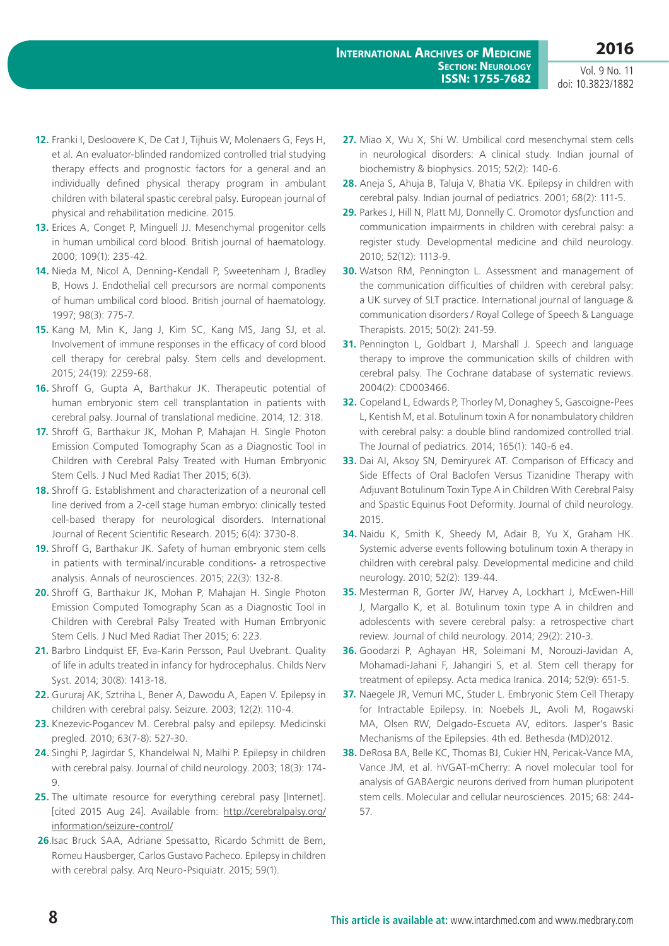- **12.** Franki I, Desloovere K, De Cat J, Tijhuis W, Molenaers G, Feys H, et al. An evaluator-blinded randomized controlled trial studying therapy effects and prognostic factors for a general and an individually defined physical therapy program in ambulant children with bilateral spastic cerebral palsy. European journal of physical and rehabilitation medicine. 2015.
- **13.** Erices A, Conget P, Minguell JJ. Mesenchymal progenitor cells in human umbilical cord blood. British journal of haematology. 2000; 109(1): 235-42.
- **14.** Nieda M, Nicol A, Denning-Kendall P, Sweetenham J, Bradley B, Hows J. Endothelial cell precursors are normal components of human umbilical cord blood. British journal of haematology. 1997; 98(3): 775-7.
- **15.** Kang M, Min K, Jang J, Kim SC, Kang MS, Jang SJ, et al. Involvement of immune responses in the efficacy of cord blood cell therapy for cerebral palsy. Stem cells and development. 2015; 24(19): 2259-68.
- **16.** Shroff G, Gupta A, Barthakur JK. Therapeutic potential of human embryonic stem cell transplantation in patients with cerebral palsy. Journal of translational medicine. 2014; 12: 318.
- **17.** Shroff G, Barthakur JK, Mohan P, Mahajan H. Single Photon Emission Computed Tomography Scan as a Diagnostic Tool in Children with Cerebral Palsy Treated with Human Embryonic Stem Cells. J Nucl Med Radiat Ther 2015; 6(3).
- **18.** Shroff G. Establishment and characterization of a neuronal cell line derived from a 2-cell stage human embryo: clinically tested cell-based therapy for neurological disorders. International Journal of Recent Scientific Research. 2015; 6(4): 3730-8.
- **19.** Shroff G, Barthakur JK. Safety of human embryonic stem cells in patients with terminal/incurable conditions- a retrospective analysis. Annals of neurosciences. 2015; 22(3): 132-8.
- **20.** Shroff G, Barthakur JK, Mohan P, Mahajan H. Single Photon Emission Computed Tomography Scan as a Diagnostic Tool in Children with Cerebral Palsy Treated with Human Embryonic Stem Cells. J Nucl Med Radiat Ther 2015; 6: 223.
- 21. Barbro Lindquist EF, Eva-Karin Persson, Paul Uvebrant. Quality of life in adults treated in infancy for hydrocephalus. Childs Nerv Syst. 2014; 30(8): 1413-18.
- **22.** Gururaj AK, Sztriha L, Bener A, Dawodu A, Eapen V. Epilepsy in children with cerebral palsy. Seizure. 2003; 12(2): 110-4.
- **23.** Knezevic-Pogancev M. Cerebral palsy and epilepsy. Medicinski pregled. 2010; 63(7-8): 527-30.
- **24.** Singhi P, Jagirdar S, Khandelwal N, Malhi P. Epilepsy in children with cerebral palsy. Journal of child neurology. 2003; 18(3): 174- 9.
- **25.** The ultimate resource for everything cerebral pasy [Internet]. [cited 2015 Aug 24]. Available from: [http://cerebralpalsy.org/](http://cerebralpalsy.org/information/seizure-control/) [information/seizure-control/](http://cerebralpalsy.org/information/seizure-control/)
- **26**.Isac Bruck SAA, Adriane Spessatto, Ricardo Schmitt de Bem, Romeu Hausberger, Carlos Gustavo Pacheco. Epilepsy in children with cerebral palsy. Arq Neuro-Psiquiatr. 2015; 59(1).
- **27.** Miao X, Wu X, Shi W. Umbilical cord mesenchymal stem cells in neurological disorders: A clinical study. Indian journal of biochemistry & biophysics. 2015; 52(2): 140-6.
- **28.** Aneja S, Ahuja B, Taluja V, Bhatia VK. Epilepsy in children with cerebral palsy. Indian journal of pediatrics. 2001; 68(2): 111-5.
- **29.** Parkes J, Hill N, Platt MJ, Donnelly C. Oromotor dysfunction and communication impairments in children with cerebral palsy: a register study. Developmental medicine and child neurology. 2010; 52(12): 1113-9.
- **30.** Watson RM, Pennington L. Assessment and management of the communication difficulties of children with cerebral palsy: a UK survey of SLT practice. International journal of language & communication disorders / Royal College of Speech & Language Therapists. 2015; 50(2): 241-59.
- **31.** Pennington L, Goldbart J, Marshall J. Speech and language therapy to improve the communication skills of children with cerebral palsy. The Cochrane database of systematic reviews. 2004(2): CD003466.
- **32.** Copeland L, Edwards P, Thorley M, Donaghey S, Gascoigne-Pees L, Kentish M, et al. Botulinum toxin A for nonambulatory children with cerebral palsy: a double blind randomized controlled trial. The Journal of pediatrics. 2014; 165(1): 140-6 e4.
- **33.** Dai AI, Aksoy SN, Demiryurek AT. Comparison of Efficacy and Side Effects of Oral Baclofen Versus Tizanidine Therapy with Adjuvant Botulinum Toxin Type A in Children With Cerebral Palsy and Spastic Equinus Foot Deformity. Journal of child neurology. 2015.
- **34.** Naidu K, Smith K, Sheedy M, Adair B, Yu X, Graham HK. Systemic adverse events following botulinum toxin A therapy in children with cerebral palsy. Developmental medicine and child neurology. 2010; 52(2): 139-44.
- **35.** Mesterman R, Gorter JW, Harvey A, Lockhart J, McEwen-Hill J, Margallo K, et al. Botulinum toxin type A in children and adolescents with severe cerebral palsy: a retrospective chart review. Journal of child neurology. 2014; 29(2): 210-3.
- **36.** Goodarzi P, Aghayan HR, Soleimani M, Norouzi-Javidan A, Mohamadi-Jahani F, Jahangiri S, et al. Stem cell therapy for treatment of epilepsy. Acta medica Iranica. 2014; 52(9): 651-5.
- **37.** Naegele JR, Vemuri MC, Studer L. Embryonic Stem Cell Therapy for Intractable Epilepsy. In: Noebels JL, Avoli M, Rogawski MA, Olsen RW, Delgado-Escueta AV, editors. Jasper's Basic Mechanisms of the Epilepsies. 4th ed. Bethesda (MD)2012.
- **38.** DeRosa BA, Belle KC, Thomas BJ, Cukier HN, Pericak-Vance MA, Vance JM, et al. hVGAT-mCherry: A novel molecular tool for analysis of GABAergic neurons derived from human pluripotent stem cells. Molecular and cellular neurosciences. 2015; 68: 244- 57.